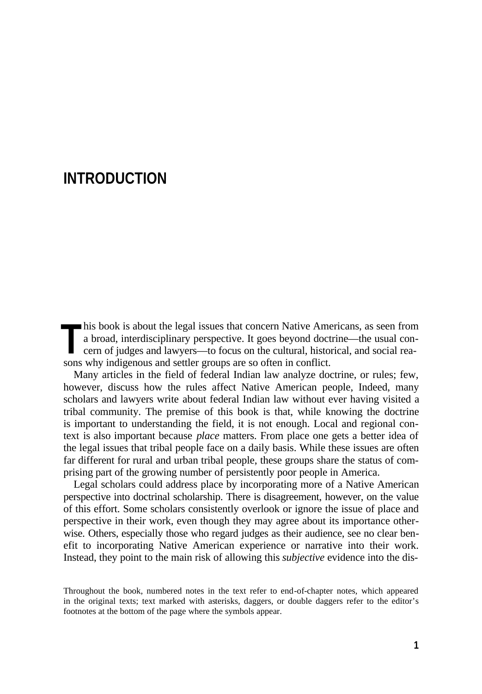# **INTRODUCTION**

his book is about the legal issues that concern Native Americans, as seen from a broad, interdisciplinary perspective. It goes beyond doctrine—the usual concern of judges and lawyers—to focus on the cultural, historical, and social rea-**Solution** is about the legal issues that concern Native America broad, interdisciplinary perspective. It goes beyond doct cern of judges and lawyers—to focus on the cultural, histosons why indigenous and settler groups ar

Many articles in the field of federal Indian law analyze doctrine, or rules; few, however, discuss how the rules affect Native American people, Indeed, many scholars and lawyers write about federal Indian law without ever having visited a tribal community. The premise of this book is that, while knowing the doctrine is important to understanding the field, it is not enough. Local and regional context is also important because *place* matters. From place one gets a better idea of the legal issues that tribal people face on a daily basis. While these issues are often far different for rural and urban tribal people, these groups share the status of comprising part of the growing number of persistently poor people in America.

Legal scholars could address place by incorporating more of a Native American perspective into doctrinal scholarship. There is disagreement, however, on the value of this effort. Some scholars consistently overlook or ignore the issue of place and perspective in their work, even though they may agree about its importance otherwise. Others, especially those who regard judges as their audience, see no clear benefit to incorporating Native American experience or narrative into their work. Instead, they point to the main risk of allowing this *subjective* evidence into the dis-

Throughout the book, numbered notes in the text refer to end-of-chapter notes, which appeared in the original texts; text marked with asterisks, daggers, or double daggers refer to the editor's footnotes at the bottom of the page where the symbols appear.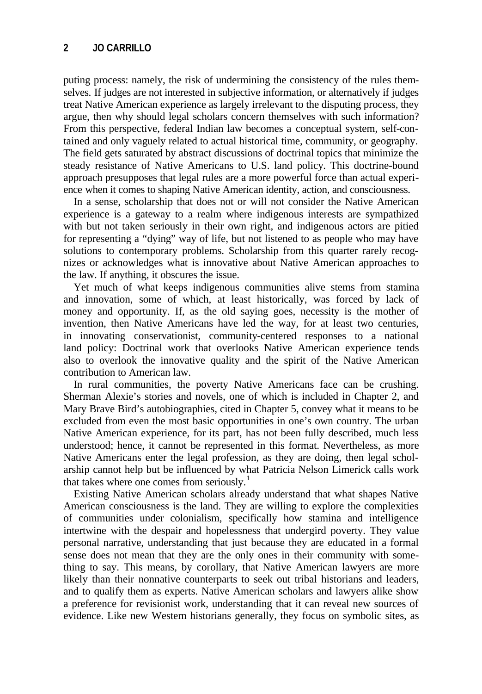## **2 JO CARRILLO**

puting process: namely, the risk of undermining the consistency of the rules themselves. If judges are not interested in subjective information, or alternatively if judges treat Native American experience as largely irrelevant to the disputing process, they argue, then why should legal scholars concern themselves with such information? From this perspective, federal Indian law becomes a conceptual system, self-contained and only vaguely related to actual historical time, community, or geography. The field gets saturated by abstract discussions of doctrinal topics that minimize the steady resistance of Native Americans to U.S. land policy. This doctrine-bound approach presupposes that legal rules are a more powerful force than actual experience when it comes to shaping Native American identity, action, and consciousness.

In a sense, scholarship that does not or will not consider the Native American experience is a gateway to a realm where indigenous interests are sympathized with but not taken seriously in their own right, and indigenous actors are pitied for representing a "dying" way of life, but not listened to as people who may have solutions to contemporary problems. Scholarship from this quarter rarely recognizes or acknowledges what is innovative about Native American approaches to the law. If anything, it obscures the issue.

Yet much of what keeps indigenous communities alive stems from stamina and innovation, some of which, at least historically, was forced by lack of money and opportunity. If, as the old saying goes, necessity is the mother of invention, then Native Americans have led the way, for at least two centuries, in innovating conservationist, community-centered responses to a national land policy: Doctrinal work that overlooks Native American experience tends also to overlook the innovative quality and the spirit of the Native American contribution to American law.

In rural communities, the poverty Native Americans face can be crushing. Sherman Alexie's stories and novels, one of which is included in Chapter 2, and Mary Brave Bird's autobiographies, cited in Chapter 5, convey what it means to be excluded from even the most basic opportunities in one's own country. The urban Native American experience, for its part, has not been fully described, much less understood; hence, it cannot be represented in this format. Nevertheless, as more Native Americans enter the legal profession, as they are doing, then legal scholarship cannot help but be influenced by what Patricia Nelson Limerick calls work that takes where one comes from seriously. $<sup>1</sup>$ </sup>

Existing Native American scholars already understand that what shapes Native American consciousness is the land. They are willing to explore the complexities of communities under colonialism, specifically how stamina and intelligence intertwine with the despair and hopelessness that undergird poverty. They value personal narrative, understanding that just because they are educated in a formal sense does not mean that they are the only ones in their community with something to say. This means, by corollary, that Native American lawyers are more likely than their nonnative counterparts to seek out tribal historians and leaders, and to qualify them as experts. Native American scholars and lawyers alike show a preference for revisionist work, understanding that it can reveal new sources of evidence. Like new Western historians generally, they focus on symbolic sites, as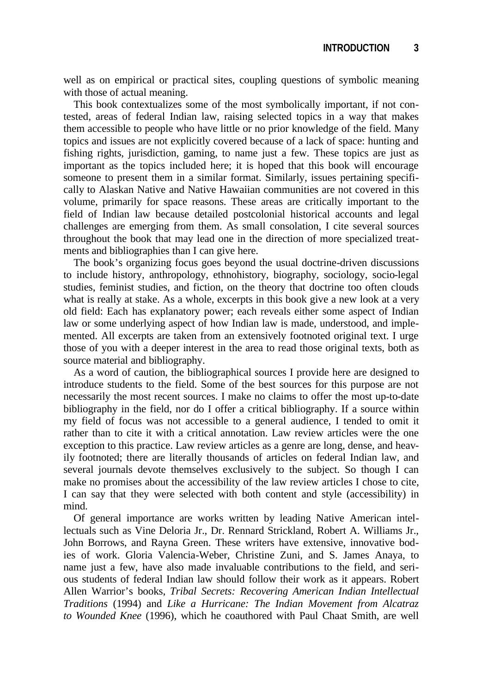well as on empirical or practical sites, coupling questions of symbolic meaning with those of actual meaning.

This book contextualizes some of the most symbolically important, if not contested, areas of federal Indian law, raising selected topics in a way that makes them accessible to people who have little or no prior knowledge of the field. Many topics and issues are not explicitly covered because of a lack of space: hunting and fishing rights, jurisdiction, gaming, to name just a few. These topics are just as important as the topics included here; it is hoped that this book will encourage someone to present them in a similar format. Similarly, issues pertaining specifically to Alaskan Native and Native Hawaiian communities are not covered in this volume, primarily for space reasons. These areas are critically important to the field of Indian law because detailed postcolonial historical accounts and legal challenges are emerging from them. As small consolation, I cite several sources throughout the book that may lead one in the direction of more specialized treatments and bibliographies than I can give here.

The book's organizing focus goes beyond the usual doctrine-driven discussions to include history, anthropology, ethnohistory, biography, sociology, socio-legal studies, feminist studies, and fiction, on the theory that doctrine too often clouds what is really at stake. As a whole, excerpts in this book give a new look at a very old field: Each has explanatory power; each reveals either some aspect of Indian law or some underlying aspect of how Indian law is made, understood, and implemented. All excerpts are taken from an extensively footnoted original text. I urge those of you with a deeper interest in the area to read those original texts, both as source material and bibliography.

As a word of caution, the bibliographical sources I provide here are designed to introduce students to the field. Some of the best sources for this purpose are not necessarily the most recent sources. I make no claims to offer the most up-to-date bibliography in the field, nor do I offer a critical bibliography. If a source within my field of focus was not accessible to a general audience, I tended to omit it rather than to cite it with a critical annotation. Law review articles were the one exception to this practice. Law review articles as a genre are long, dense, and heavily footnoted; there are literally thousands of articles on federal Indian law, and several journals devote themselves exclusively to the subject. So though I can make no promises about the accessibility of the law review articles I chose to cite, I can say that they were selected with both content and style (accessibility) in mind.

Of general importance are works written by leading Native American intellectuals such as Vine Deloria Jr., Dr. Rennard Strickland, Robert A. Williams Jr., John Borrows, and Rayna Green. These writers have extensive, innovative bodies of work. Gloria Valencia-Weber, Christine Zuni, and S. James Anaya, to name just a few, have also made invaluable contributions to the field, and serious students of federal Indian law should follow their work as it appears. Robert Allen Warrior's books, *Tribal Secrets: Recovering American Indian Intellectual Traditions* (1994) and *Like a Hurricane: The Indian Movement from Alcatraz to Wounded Knee* (1996), which he coauthored with Paul Chaat Smith, are well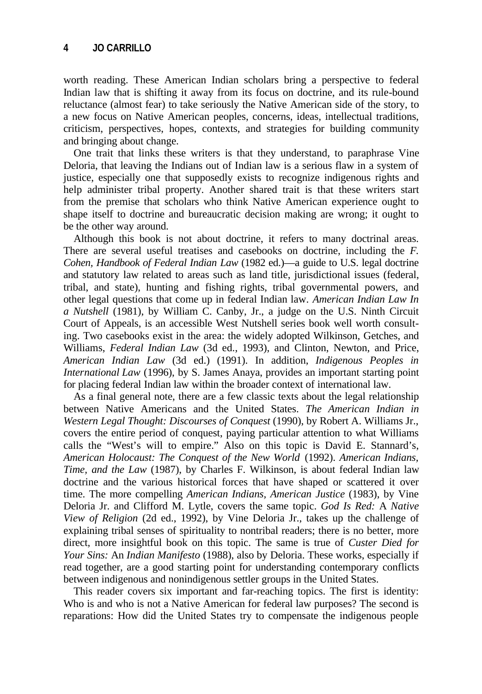worth reading. These American Indian scholars bring a perspective to federal Indian law that is shifting it away from its focus on doctrine, and its rule-bound reluctance (almost fear) to take seriously the Native American side of the story, to a new focus on Native American peoples, concerns, ideas, intellectual traditions, criticism, perspectives, hopes, contexts, and strategies for building community and bringing about change.

One trait that links these writers is that they understand, to paraphrase Vine Deloria, that leaving the Indians out of Indian law is a serious flaw in a system of justice, especially one that supposedly exists to recognize indigenous rights and help administer tribal property. Another shared trait is that these writers start from the premise that scholars who think Native American experience ought to shape itself to doctrine and bureaucratic decision making are wrong; it ought to be the other way around.

Although this book is not about doctrine, it refers to many doctrinal areas. There are several useful treatises and casebooks on doctrine, including the *F. Cohen, Handbook of Federal Indian Law* (1982 ed.)—a guide to U.S. legal doctrine and statutory law related to areas such as land title, jurisdictional issues (federal, tribal, and state), hunting and fishing rights, tribal governmental powers, and other legal questions that come up in federal Indian law. *American Indian Law In a Nutshell* (1981), by William C. Canby, Jr., a judge on the U.S. Ninth Circuit Court of Appeals, is an accessible West Nutshell series book well worth consulting. Two casebooks exist in the area: the widely adopted Wilkinson, Getches, and Williams, *Federal Indian Law* (3d ed., 1993), and Clinton, Newton, and Price, *American Indian Law* (3d ed.) (1991). In addition, *Indigenous Peoples in International Law* (1996), by S. James Anaya, provides an important starting point for placing federal Indian law within the broader context of international law.

As a final general note, there are a few classic texts about the legal relationship between Native Americans and the United States. *The American Indian in Western Legal Thought: Discourses of Conquest* (1990), by Robert A. Williams Jr., covers the entire period of conquest, paying particular attention to what Williams calls the "West's will to empire." Also on this topic is David E. Stannard's, *American Holocaust: The Conquest of the New World* (1992). *American Indians, Time, and the Law* (1987), by Charles F. Wilkinson, is about federal Indian law doctrine and the various historical forces that have shaped or scattered it over time. The more compelling *American Indians, American Justice* (1983), by Vine Deloria Jr. and Clifford M. Lytle, covers the same topic. *God Is Red:* A *Native View of Religion* (2d ed., 1992), by Vine Deloria Jr., takes up the challenge of explaining tribal senses of spirituality to nontribal readers; there is no better, more direct, more insightful book on this topic. The same is true of *Custer Died for Your Sins:* An *Indian Manifesto* (1988), also by Deloria. These works, especially if read together, are a good starting point for understanding contemporary conflicts between indigenous and nonindigenous settler groups in the United States.

This reader covers six important and far-reaching topics. The first is identity: Who is and who is not a Native American for federal law purposes? The second is reparations: How did the United States try to compensate the indigenous people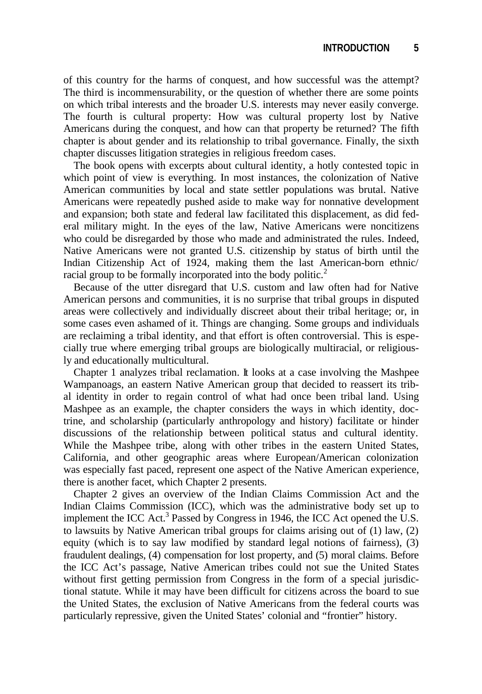of this country for the harms of conquest, and how successful was the attempt? The third is incommensurability, or the question of whether there are some points on which tribal interests and the broader U.S. interests may never easily converge. The fourth is cultural property: How was cultural property lost by Native Americans during the conquest, and how can that property be returned? The fifth chapter is about gender and its relationship to tribal governance. Finally, the sixth chapter discusses litigation strategies in religious freedom cases.

The book opens with excerpts about cultural identity, a hotly contested topic in which point of view is everything. In most instances, the colonization of Native American communities by local and state settler populations was brutal. Native Americans were repeatedly pushed aside to make way for nonnative development and expansion; both state and federal law facilitated this displacement, as did federal military might. In the eyes of the law, Native Americans were noncitizens who could be disregarded by those who made and administrated the rules. Indeed, Native Americans were not granted U.S. citizenship by status of birth until the Indian Citizenship Act of 1924, making them the last American-born ethnic/ racial group to be formally incorporated into the body politic.<sup>2</sup>

Because of the utter disregard that U.S. custom and law often had for Native American persons and communities, it is no surprise that tribal groups in disputed areas were collectively and individually discreet about their tribal heritage; or, in some cases even ashamed of it. Things are changing. Some groups and individuals are reclaiming a tribal identity, and that effort is often controversial. This is especially true where emerging tribal groups are biologically multiracial, or religiously and educationally multicultural.

Chapter 1 analyzes tribal reclamation. It looks at a case involving the Mashpee Wampanoags, an eastern Native American group that decided to reassert its tribal identity in order to regain control of what had once been tribal land. Using Mashpee as an example, the chapter considers the ways in which identity, doctrine, and scholarship (particularly anthropology and history) facilitate or hinder discussions of the relationship between political status and cultural identity. While the Mashpee tribe, along with other tribes in the eastern United States, California, and other geographic areas where European/American colonization was especially fast paced, represent one aspect of the Native American experience, there is another facet, which Chapter 2 presents.

Chapter 2 gives an overview of the Indian Claims Commission Act and the Indian Claims Commission (ICC), which was the administrative body set up to implement the ICC Act.<sup>3</sup> Passed by Congress in 1946, the ICC Act opened the U.S. to lawsuits by Native American tribal groups for claims arising out of  $(1)$  law,  $(2)$ equity (which is to say law modified by standard legal notions of fairness), (3) fraudulent dealings, (4) compensation for lost property, and (5) moral claims. Before the ICC Act's passage, Native American tribes could not sue the United States without first getting permission from Congress in the form of a special jurisdictional statute. While it may have been difficult for citizens across the board to sue the United States, the exclusion of Native Americans from the federal courts was particularly repressive, given the United States' colonial and "frontier" history.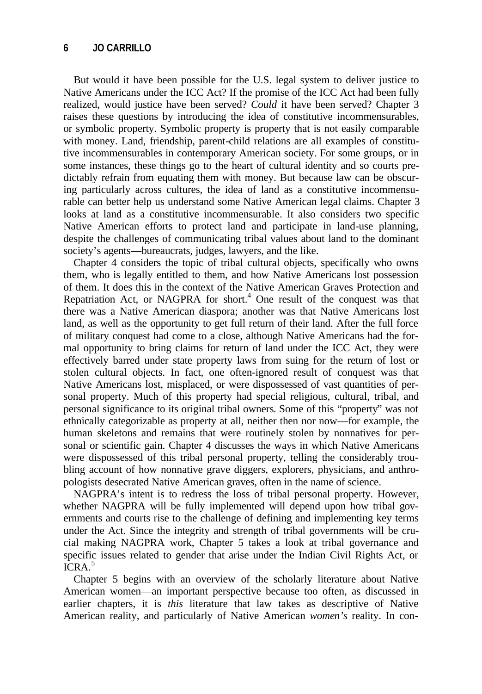## **6 JO CARRILLO**

But would it have been possible for the U.S. legal system to deliver justice to Native Americans under the ICC Act? If the promise of the ICC Act had been fully realized, would justice have been served? *Could* it have been served? Chapter 3 raises these questions by introducing the idea of constitutive incommensurables, or symbolic property. Symbolic property is property that is not easily comparable with money. Land, friendship, parent-child relations are all examples of constitutive incommensurables in contemporary American society. For some groups, or in some instances, these things go to the heart of cultural identity and so courts predictably refrain from equating them with money. But because law can be obscuring particularly across cultures, the idea of land as a constitutive incommensurable can better help us understand some Native American legal claims. Chapter 3 looks at land as a constitutive incommensurable. It also considers two specific Native American efforts to protect land and participate in land-use planning, despite the challenges of communicating tribal values about land to the dominant society's agents—bureaucrats, judges, lawyers, and the like.

Chapter 4 considers the topic of tribal cultural objects, specifically who owns them, who is legally entitled to them, and how Native Americans lost possession of them. It does this in the context of the Native American Graves Protection and Repatriation Act, or NAGPRA for short.<sup>4</sup> One result of the conquest was that there was a Native American diaspora; another was that Native Americans lost land, as well as the opportunity to get full return of their land. After the full force of military conquest had come to a close, although Native Americans had the formal opportunity to bring claims for return of land under the ICC Act, they were effectively barred under state property laws from suing for the return of lost or stolen cultural objects. In fact, one often-ignored result of conquest was that Native Americans lost, misplaced, or were dispossessed of vast quantities of personal property. Much of this property had special religious, cultural, tribal, and personal significance to its original tribal owners. Some of this "property" was not ethnically categorizable as property at all, neither then nor now—for example, the human skeletons and remains that were routinely stolen by nonnatives for personal or scientific gain. Chapter 4 discusses the ways in which Native Americans were dispossessed of this tribal personal property, telling the considerably troubling account of how nonnative grave diggers, explorers, physicians, and anthropologists desecrated Native American graves, often in the name of science.

NAGPRA's intent is to redress the loss of tribal personal property. However, whether NAGPRA will be fully implemented will depend upon how tribal governments and courts rise to the challenge of defining and implementing key terms under the Act. Since the integrity and strength of tribal governments will be crucial making NAGPRA work, Chapter 5 takes a look at tribal governance and specific issues related to gender that arise under the Indian Civil Rights Act, or  $ICRA<sup>5</sup>$ 

Chapter 5 begins with an overview of the scholarly literature about Native American women—an important perspective because too often, as discussed in earlier chapters, it is *this* literature that law takes as descriptive of Native American reality, and particularly of Native American *women's* reality. In con-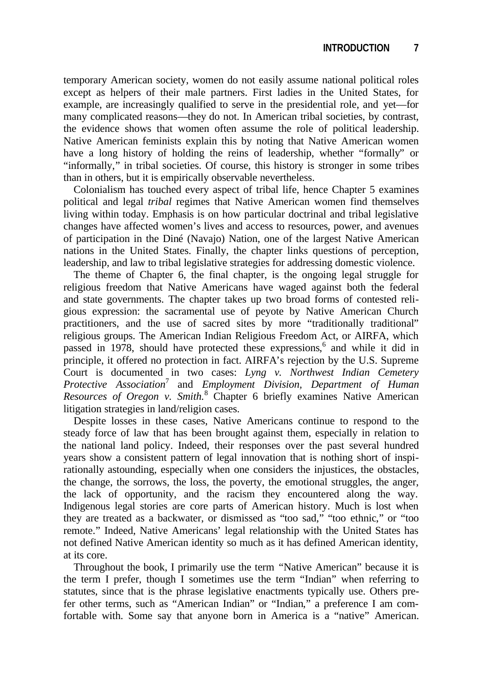temporary American society, women do not easily assume national political roles except as helpers of their male partners. First ladies in the United States, for example, are increasingly qualified to serve in the presidential role, and yet—for many complicated reasons—they do not. In American tribal societies, by contrast, the evidence shows that women often assume the role of political leadership. Native American feminists explain this by noting that Native American women have a long history of holding the reins of leadership, whether "formally" or "informally," in tribal societies. Of course, this history is stronger in some tribes than in others, but it is empirically observable nevertheless.

Colonialism has touched every aspect of tribal life, hence Chapter 5 examines political and legal *tribal* regimes that Native American women find themselves living within today. Emphasis is on how particular doctrinal and tribal legislative changes have affected women's lives and access to resources, power, and avenues of participation in the Diné (Navajo) Nation, one of the largest Native American nations in the United States. Finally, the chapter links questions of perception, leadership, and law to tribal legislative strategies for addressing domestic violence.

The theme of Chapter 6, the final chapter, is the ongoing legal struggle for religious freedom that Native Americans have waged against both the federal and state governments. The chapter takes up two broad forms of contested religious expression: the sacramental use of peyote by Native American Church practitioners, and the use of sacred sites by more "traditionally traditional" religious groups. The American Indian Religious Freedom Act, or AIRFA, which passed in 1978, should have protected these expressions,<sup>6</sup> and while it did in principle, it offered no protection in fact. AIRFA's rejection by the U.S. Supreme Court is documented in two cases: *Lyng v. Northwest Indian Cemetery Protective Association*<sup>7</sup> and *Employment Division, Department of Human Resources of Oregon v. Smith.*<sup>8</sup> Chapter 6 briefly examines Native American litigation strategies in land/religion cases.

Despite losses in these cases, Native Americans continue to respond to the steady force of law that has been brought against them, especially in relation to the national land policy. Indeed, their responses over the past several hundred years show a consistent pattern of legal innovation that is nothing short of inspirationally astounding, especially when one considers the injustices, the obstacles, the change, the sorrows, the loss, the poverty, the emotional struggles, the anger, the lack of opportunity, and the racism they encountered along the way. Indigenous legal stories are core parts of American history. Much is lost when they are treated as a backwater, or dismissed as "too sad," "too ethnic," or "too remote." Indeed, Native Americans' legal relationship with the United States has not defined Native American identity so much as it has defined American identity, at its core.

Throughout the book, I primarily use the term "Native American" because it is the term I prefer, though I sometimes use the term "Indian" when referring to statutes, since that is the phrase legislative enactments typically use. Others prefer other terms, such as "American Indian" or "Indian," a preference I am comfortable with. Some say that anyone born in America is a "native" American.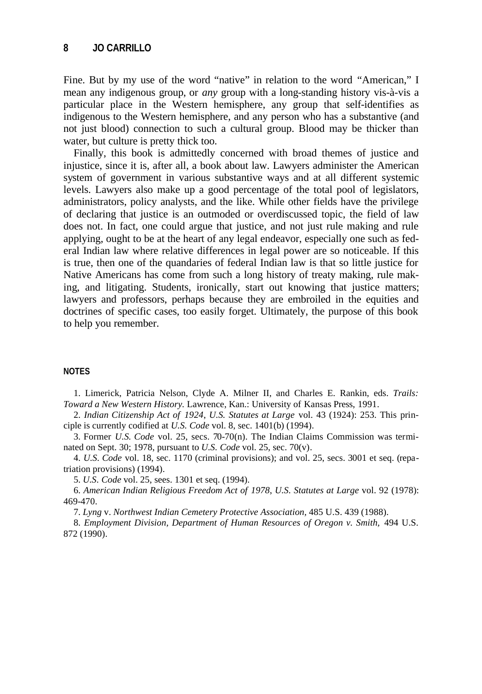Fine. But by my use of the word "native" in relation to the word "American," I mean any indigenous group, or *any* group with a long-standing history vis-à-vis a particular place in the Western hemisphere, any group that self-identifies as indigenous to the Western hemisphere, and any person who has a substantive (and not just blood) connection to such a cultural group. Blood may be thicker than water, but culture is pretty thick too.

Finally, this book is admittedly concerned with broad themes of justice and injustice, since it is, after all, a book about law. Lawyers administer the American system of government in various substantive ways and at all different systemic levels. Lawyers also make up a good percentage of the total pool of legislators, administrators, policy analysts, and the like. While other fields have the privilege of declaring that justice is an outmoded or overdiscussed topic, the field of law does not. In fact, one could argue that justice, and not just rule making and rule applying, ought to be at the heart of any legal endeavor, especially one such as federal Indian law where relative differences in legal power are so noticeable. If this is true, then one of the quandaries of federal Indian law is that so little justice for Native Americans has come from such a long history of treaty making, rule making, and litigating. Students, ironically, start out knowing that justice matters; lawyers and professors, perhaps because they are embroiled in the equities and doctrines of specific cases, too easily forget. Ultimately, the purpose of this book to help you remember.

### **NOTES**

1. Limerick, Patricia Nelson, Clyde A. Milner II, and Charles E. Rankin, eds. *Trails: Toward a New Western History.* Lawrence, Kan.: University of Kansas Press, 1991.

2. *Indian Citizenship Act of 1924*, *U.S. Statutes at Large* vol. 43 (1924): 253. This principle is currently codified at *U.S. Code* vol. 8, sec. 1401(b) (1994).

3. Former *U.S. Code* vol. 25, secs. 70-70(n). The Indian Claims Commission was terminated on Sept. 30; 1978, pursuant to *U.S. Code* vol. 25, sec. 70(v).

4. *U.S. Code* vol. 18, sec. 1170 (criminal provisions); and vol. 25, secs. 3001 et seq. (repatriation provisions) (1994).

5. *U.S. Code* vol. 25, sees. 1301 et seq. (1994).

6. *American Indian Religious Freedom Act of 1978*, *U.S. Statutes at Large* vol. 92 (1978): 469-470.

7. *Lyng* v. *Northwest Indian Cemetery Protective Association,* 485 U.S. 439 (1988).

8. *Employment Division, Department of Human Resources of Oregon v. Smith,* 494 U.S. 872 (1990).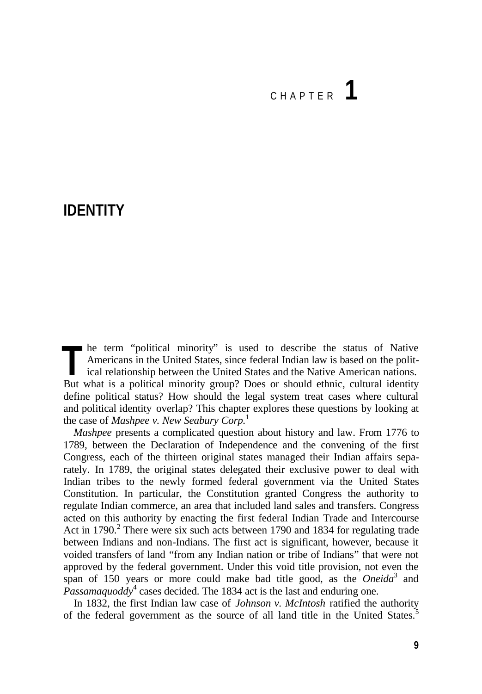# CHAPTER **1**

## **IDENTITY**

he term "political minority" is used to describe the status of Native Americans in the United States, since federal Indian law is based on the political relationship between the United States and the Native American nations. In term "political minority" is used to describe the status of Native Americans in the United States, since federal Indian law is based on the political relationship between the United States and the Native American nation define political status? How should the legal system treat cases where cultural and political identity overlap? This chapter explores these questions by looking at the case of *Mashpee v. New Seabury Corp.*<sup>1</sup>

*Mashpee* presents a complicated question about history and law. From 1776 to 1789, between the Declaration of Independence and the convening of the first Congress, each of the thirteen original states managed their Indian affairs separately. In 1789, the original states delegated their exclusive power to deal with Indian tribes to the newly formed federal government via the United States Constitution. In particular, the Constitution granted Congress the authority to regulate Indian commerce, an area that included land sales and transfers. Congress acted on this authority by enacting the first federal Indian Trade and Intercourse Act in 1790.<sup>2</sup> There were six such acts between 1790 and 1834 for regulating trade between Indians and non-Indians. The first act is significant, however, because it voided transfers of land "from any Indian nation or tribe of Indians" that were not approved by the federal government. Under this void title provision, not even the span of 150 years or more could make bad title good, as the *Oneida*<sup>3</sup> and  $\hat{P}$ assamaquoddy<sup>4</sup> cases decided. The 1834 act is the last and enduring one.

In 1832, the first Indian law case of *Johnson v. McIntosh* ratified the authority of the federal government as the source of all land title in the United States.<sup>5</sup>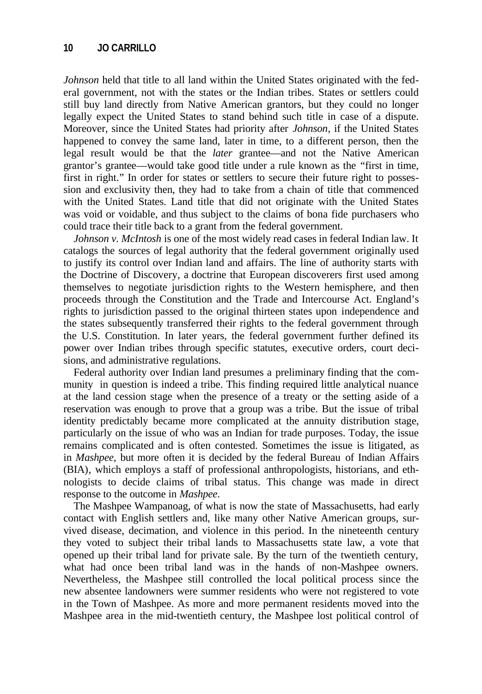*Johnson* held that title to all land within the United States originated with the federal government, not with the states or the Indian tribes. States or settlers could still buy land directly from Native American grantors, but they could no longer legally expect the United States to stand behind such title in case of a dispute. Moreover, since the United States had priority after *Johnson*, if the United States happened to convey the same land, later in time, to a different person, then the legal result would be that the *later* grantee—and not the Native American grantor's grantee—would take good title under a rule known as the "first in time, first in right." In order for states or settlers to secure their future right to possession and exclusivity then, they had to take from a chain of title that commenced with the United States. Land title that did not originate with the United States was void or voidable, and thus subject to the claims of bona fide purchasers who could trace their title back to a grant from the federal government.

*Johnson v. McIntosh* is one of the most widely read cases in federal Indian law. It catalogs the sources of legal authority that the federal government originally used to justify its control over Indian land and affairs. The line of authority starts with the Doctrine of Discovery, a doctrine that European discoverers first used among themselves to negotiate jurisdiction rights to the Western hemisphere, and then proceeds through the Constitution and the Trade and Intercourse Act. England's rights to jurisdiction passed to the original thirteen states upon independence and the states subsequently transferred their rights to the federal government through the U.S. Constitution. In later years, the federal government further defined its power over Indian tribes through specific statutes, executive orders, court decisions, and administrative regulations.

Federal authority over Indian land presumes a preliminary finding that the community in question is indeed a tribe. This finding required little analytical nuance at the land cession stage when the presence of a treaty or the setting aside of a reservation was enough to prove that a group was a tribe. But the issue of tribal identity predictably became more complicated at the annuity distribution stage, particularly on the issue of who was an Indian for trade purposes. Today, the issue remains complicated and is often contested. Sometimes the issue is litigated, as in *Mashpee*, but more often it is decided by the federal Bureau of Indian Affairs (BIA), which employs a staff of professional anthropologists, historians, and ethnologists to decide claims of tribal status. This change was made in direct response to the outcome in *Mashpee*.

The Mashpee Wampanoag, of what is now the state of Massachusetts, had early contact with English settlers and, like many other Native American groups, survived disease, decimation, and violence in this period. In the nineteenth century they voted to subject their tribal lands to Massachusetts state law, a vote that opened up their tribal land for private sale. By the turn of the twentieth century, what had once been tribal land was in the hands of non-Mashpee owners. Nevertheless, the Mashpee still controlled the local political process since the new absentee landowners were summer residents who were not registered to vote in the Town of Mashpee. As more and more permanent residents moved into the Mashpee area in the mid-twentieth century, the Mashpee lost political control of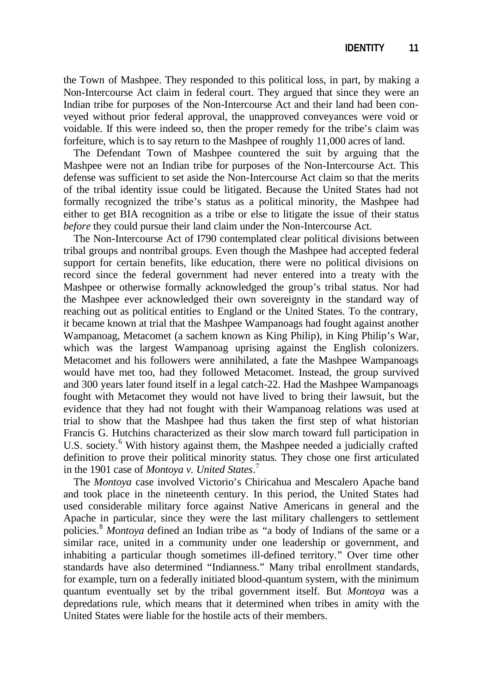the Town of Mashpee. They responded to this political loss, in part, by making a Non-Intercourse Act claim in federal court. They argued that since they were an Indian tribe for purposes of the Non-Intercourse Act and their land had been conveyed without prior federal approval, the unapproved conveyances were void or voidable. If this were indeed so, then the proper remedy for the tribe's claim was forfeiture, which is to say return to the Mashpee of roughly 11,000 acres of land.

The Defendant Town of Mashpee countered the suit by arguing that the Mashpee were not an Indian tribe for purposes of the Non-Intercourse Act. This defense was sufficient to set aside the Non-Intercourse Act claim so that the merits of the tribal identity issue could be litigated. Because the United States had not formally recognized the tribe's status as a political minority, the Mashpee had either to get BIA recognition as a tribe or else to litigate the issue of their status *before* they could pursue their land claim under the Non-Intercourse Act.

The Non-Intercourse Act of I790 contemplated clear political divisions between tribal groups and nontribal groups. Even though the Mashpee had accepted federal support for certain benefits, like education, there were no political divisions on record since the federal government had never entered into a treaty with the Mashpee or otherwise formally acknowledged the group's tribal status. Nor had the Mashpee ever acknowledged their own sovereignty in the standard way of reaching out as political entities to England or the United States. To the contrary, it became known at trial that the Mashpee Wampanoags had fought against another Wampanoag, Metacomet (a sachem known as King Philip), in King Philip's War, which was the largest Wampanoag uprising against the English colonizers. Metacomet and his followers were annihilated, a fate the Mashpee Wampanoags would have met too, had they followed Metacomet. Instead, the group survived and 300 years later found itself in a legal catch-22. Had the Mashpee Wampanoags fought with Metacomet they would not have lived to bring their lawsuit, but the evidence that they had not fought with their Wampanoag relations was used at trial to show that the Mashpee had thus taken the first step of what historian Francis G. Hutchins characterized as their slow march toward full participation in U.S. society.<sup>6</sup> With history against them, the Mashpee needed a judicially crafted definition to prove their political minority status. They chose one first articulated in the 1901 case of *Montoya v. United States*. 7

The *Montoya* case involved Victorio's Chiricahua and Mescalero Apache band and took place in the nineteenth century. In this period, the United States had used considerable military force against Native Americans in general and the Apache in particular, since they were the last military challengers to settlement policies.<sup>8</sup> *Montoya* defined an Indian tribe as "a body of Indians of the same or a similar race, united in a community under one leadership or government, and inhabiting a particular though sometimes ill-defined territory." Over time other standards have also determined "Indianness." Many tribal enrollment standards, for example, turn on a federally initiated blood-quantum system, with the minimum quantum eventually set by the tribal government itself. But *Montoya* was a depredations rule, which means that it determined when tribes in amity with the United States were liable for the hostile acts of their members.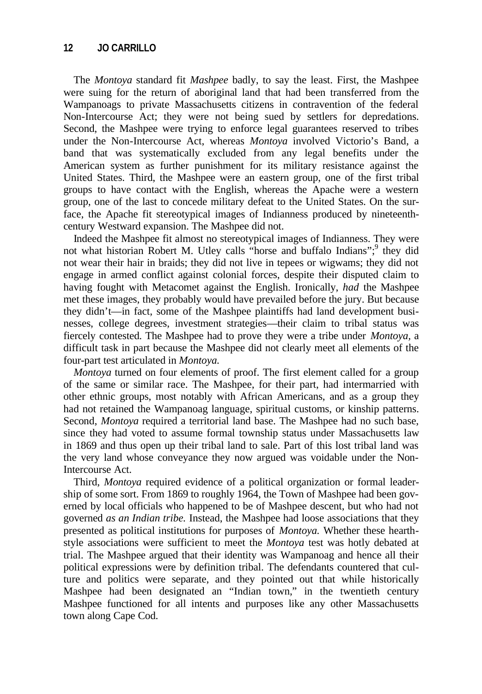The *Montoya* standard fit *Mashpee* badly, to say the least. First, the Mashpee were suing for the return of aboriginal land that had been transferred from the Wampanoags to private Massachusetts citizens in contravention of the federal Non-Intercourse Act; they were not being sued by settlers for depredations. Second, the Mashpee were trying to enforce legal guarantees reserved to tribes under the Non-Intercourse Act, whereas *Montoya* involved Victorio's Band, a band that was systematically excluded from any legal benefits under the American system as further punishment for its military resistance against the United States. Third, the Mashpee were an eastern group, one of the first tribal groups to have contact with the English, whereas the Apache were a western group, one of the last to concede military defeat to the United States. On the surface, the Apache fit stereotypical images of Indianness produced by nineteenthcentury Westward expansion. The Mashpee did not.

Indeed the Mashpee fit almost no stereotypical images of Indianness. They were not what historian Robert M. Utley calls "horse and buffalo Indians";<sup>9</sup> they did not wear their hair in braids; they did not live in tepees or wigwams; they did not engage in armed conflict against colonial forces, despite their disputed claim to having fought with Metacomet against the English. Ironically, *had* the Mashpee met these images, they probably would have prevailed before the jury. But because they didn't—in fact, some of the Mashpee plaintiffs had land development businesses, college degrees, investment strategies—their claim to tribal status was fiercely contested. The Mashpee had to prove they were a tribe under *Montoya,* a difficult task in part because the Mashpee did not clearly meet all elements of the four-part test articulated in *Montoya.*

*Montoya* turned on four elements of proof. The first element called for a group of the same or similar race. The Mashpee, for their part, had intermarried with other ethnic groups, most notably with African Americans, and as a group they had not retained the Wampanoag language, spiritual customs, or kinship patterns. Second, *Montoya* required a territorial land base. The Mashpee had no such base, since they had voted to assume formal township status under Massachusetts law in 1869 and thus open up their tribal land to sale. Part of this lost tribal land was the very land whose conveyance they now argued was voidable under the Non-Intercourse Act.

Third, *Montoya* required evidence of a political organization or formal leadership of some sort. From 1869 to roughly 1964, the Town of Mashpee had been governed by local officials who happened to be of Mashpee descent, but who had not governed *as an Indian tribe.* Instead, the Mashpee had loose associations that they presented as political institutions for purposes of *Montoya.* Whether these hearthstyle associations were sufficient to meet the *Montoya* test was hotly debated at trial. The Mashpee argued that their identity was Wampanoag and hence all their political expressions were by definition tribal. The defendants countered that culture and politics were separate, and they pointed out that while historically Mashpee had been designated an "Indian town," in the twentieth century Mashpee functioned for all intents and purposes like any other Massachusetts town along Cape Cod.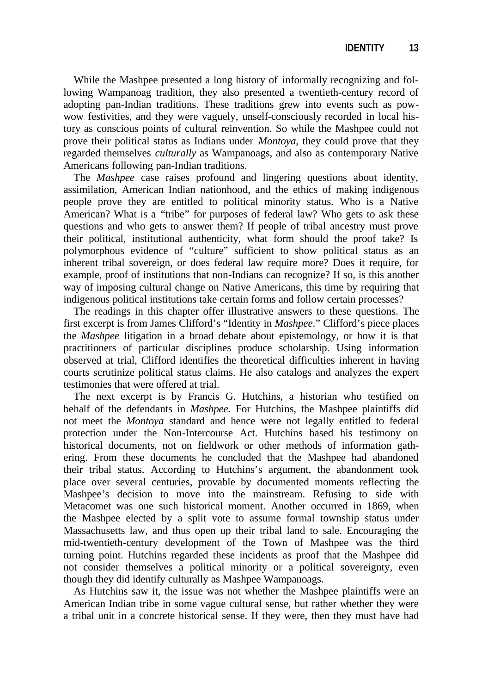While the Mashpee presented a long history of informally recognizing and following Wampanoag tradition, they also presented a twentieth-century record of adopting pan-Indian traditions. These traditions grew into events such as powwow festivities, and they were vaguely, unself-consciously recorded in local history as conscious points of cultural reinvention. So while the Mashpee could not prove their political status as Indians under *Montoya,* they could prove that they regarded themselves *culturally* as Wampanoags, and also as contemporary Native Americans following pan-Indian traditions.

The *Mashpee* case raises profound and lingering questions about identity, assimilation, American Indian nationhood, and the ethics of making indigenous people prove they are entitled to political minority status. Who is a Native American? What is a "tribe" for purposes of federal law? Who gets to ask these questions and who gets to answer them? If people of tribal ancestry must prove their political, institutional authenticity, what form should the proof take? Is polymorphous evidence of "culture" sufficient to show political status as an inherent tribal sovereign, or does federal law require more? Does it require, for example, proof of institutions that non-Indians can recognize? If so, is this another way of imposing cultural change on Native Americans, this time by requiring that indigenous political institutions take certain forms and follow certain processes?

The readings in this chapter offer illustrative answers to these questions. The first excerpt is from James Clifford's "Identity in *Mashpee*." Clifford's piece places the *Mashpee* litigation in a broad debate about epistemology, or how it is that practitioners of particular disciplines produce scholarship. Using information observed at trial, Clifford identifies the theoretical difficulties inherent in having courts scrutinize political status claims. He also catalogs and analyzes the expert testimonies that were offered at trial.

The next excerpt is by Francis G. Hutchins, a historian who testified on behalf of the defendants in *Mashpee.* For Hutchins, the Mashpee plaintiffs did not meet the *Montoya* standard and hence were not legally entitled to federal protection under the Non-Intercourse Act. Hutchins based his testimony on historical documents, not on fieldwork or other methods of information gathering. From these documents he concluded that the Mashpee had abandoned their tribal status. According to Hutchins's argument, the abandonment took place over several centuries, provable by documented moments reflecting the Mashpee's decision to move into the mainstream. Refusing to side with Metacomet was one such historical moment. Another occurred in 1869, when the Mashpee elected by a split vote to assume formal township status under Massachusetts law, and thus open up their tribal land to sale. Encouraging the mid-twentieth-century development of the Town of Mashpee was the third turning point. Hutchins regarded these incidents as proof that the Mashpee did not consider themselves a political minority or a political sovereignty, even though they did identify culturally as Mashpee Wampanoags.

As Hutchins saw it, the issue was not whether the Mashpee plaintiffs were an American Indian tribe in some vague cultural sense, but rather whether they were a tribal unit in a concrete historical sense. If they were, then they must have had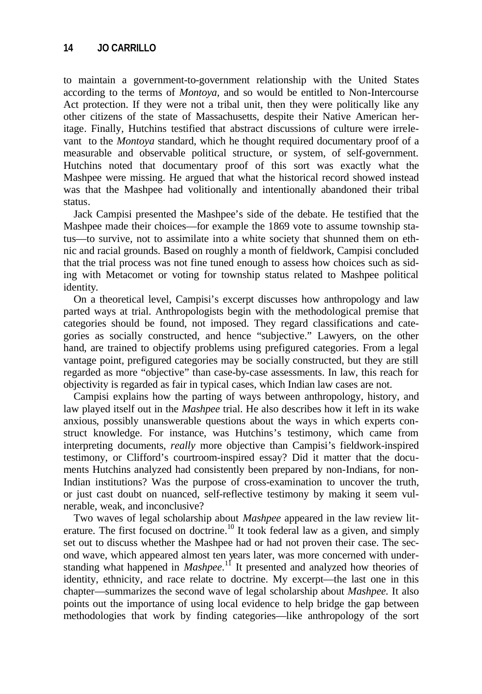to maintain a government-to-government relationship with the United States according to the terms of *Montoya,* and so would be entitled to Non-Intercourse Act protection. If they were not a tribal unit, then they were politically like any other citizens of the state of Massachusetts, despite their Native American heritage. Finally, Hutchins testified that abstract discussions of culture were irrelevant to the *Montoya* standard, which he thought required documentary proof of a measurable and observable political structure, or system, of self-government. Hutchins noted that documentary proof of this sort was exactly what the Mashpee were missing. He argued that what the historical record showed instead was that the Mashpee had volitionally and intentionally abandoned their tribal status.

Jack Campisi presented the Mashpee's side of the debate. He testified that the Mashpee made their choices—for example the 1869 vote to assume township status—to survive, not to assimilate into a white society that shunned them on ethnic and racial grounds. Based on roughly a month of fieldwork, Campisi concluded that the trial process was not fine tuned enough to assess how choices such as siding with Metacomet or voting for township status related to Mashpee political identity.

On a theoretical level, Campisi's excerpt discusses how anthropology and law parted ways at trial. Anthropologists begin with the methodological premise that categories should be found, not imposed. They regard classifications and categories as socially constructed, and hence "subjective." Lawyers, on the other hand, are trained to objectify problems using prefigured categories. From a legal vantage point, prefigured categories may be socially constructed, but they are still regarded as more "objective" than case-by-case assessments. In law, this reach for objectivity is regarded as fair in typical cases, which Indian law cases are not.

Campisi explains how the parting of ways between anthropology, history, and law played itself out in the *Mashpee* trial. He also describes how it left in its wake anxious, possibly unanswerable questions about the ways in which experts construct knowledge. For instance, was Hutchins's testimony, which came from interpreting documents, *really* more objective than Campisi's fieldwork-inspired testimony, or Clifford's courtroom-inspired essay? Did it matter that the documents Hutchins analyzed had consistently been prepared by non-Indians, for non-Indian institutions? Was the purpose of cross-examination to uncover the truth, or just cast doubt on nuanced, self-reflective testimony by making it seem vulnerable, weak, and inconclusive?

Two waves of legal scholarship about *Mashpee* appeared in the law review literature. The first focused on doctrine.<sup>10</sup> It took federal law as a given, and simply set out to discuss whether the Mashpee had or had not proven their case. The second wave, which appeared almost ten years later, was more concerned with understanding what happened in *Mashpee*.<sup>11</sup> It presented and analyzed how theories of identity, ethnicity, and race relate to doctrine. My excerpt—the last one in this chapter—summarizes the second wave of legal scholarship about *Mashpee.* It also points out the importance of using local evidence to help bridge the gap between methodologies that work by finding categories—like anthropology of the sort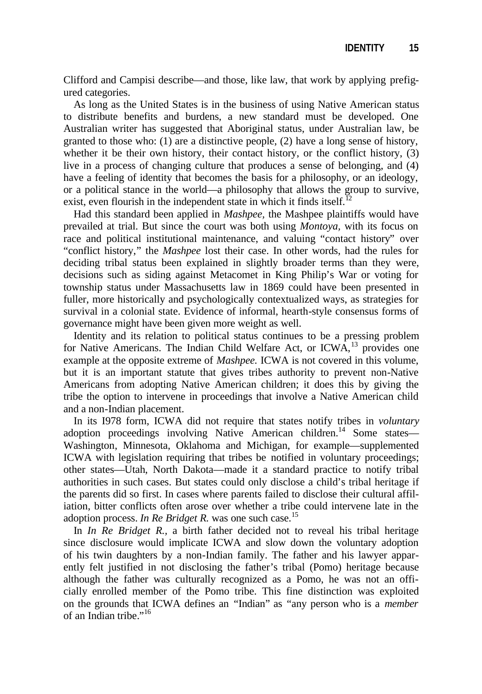Clifford and Campisi describe—and those, like law, that work by applying prefigured categories.

As long as the United States is in the business of using Native American status to distribute benefits and burdens, a new standard must be developed. One Australian writer has suggested that Aboriginal status, under Australian law, be granted to those who: (1) are a distinctive people, (2) have a long sense of history, whether it be their own history, their contact history, or the conflict history, (3) live in a process of changing culture that produces a sense of belonging, and (4) have a feeling of identity that becomes the basis for a philosophy, or an ideology, or a political stance in the world—a philosophy that allows the group to survive, exist, even flourish in the independent state in which it finds itself.

Had this standard been applied in *Mashpee,* the Mashpee plaintiffs would have prevailed at trial. But since the court was both using *Montoya,* with its focus on race and political institutional maintenance, and valuing "contact history" over "conflict history," the *Mashpee* lost their case. In other words, had the rules for deciding tribal status been explained in slightly broader terms than they were, decisions such as siding against Metacomet in King Philip's War or voting for township status under Massachusetts law in 1869 could have been presented in fuller, more historically and psychologically contextualized ways, as strategies for survival in a colonial state. Evidence of informal, hearth-style consensus forms of governance might have been given more weight as well.

Identity and its relation to political status continues to be a pressing problem for Native Americans. The Indian Child Welfare Act, or ICWA,<sup>13</sup> provides one example at the opposite extreme of *Mashpee.* ICWA is not covered in this volume, but it is an important statute that gives tribes authority to prevent non-Native Americans from adopting Native American children; it does this by giving the tribe the option to intervene in proceedings that involve a Native American child and a non-Indian placement.

In its I978 form, ICWA did not require that states notify tribes in *voluntary* adoption proceedings involving Native American children.<sup>14</sup> Some states— Washington, Minnesota, Oklahoma and Michigan, for example—supplemented ICWA with legislation requiring that tribes be notified in voluntary proceedings; other states—Utah, North Dakota—made it a standard practice to notify tribal authorities in such cases. But states could only disclose a child's tribal heritage if the parents did so first. In cases where parents failed to disclose their cultural affiliation, bitter conflicts often arose over whether a tribe could intervene late in the adoption process. *In Re Bridget R*. was one such case.<sup>15</sup>

In *In Re Bridget R.,* a birth father decided not to reveal his tribal heritage since disclosure would implicate ICWA and slow down the voluntary adoption of his twin daughters by a non-Indian family. The father and his lawyer apparently felt justified in not disclosing the father's tribal (Pomo) heritage because although the father was culturally recognized as a Pomo, he was not an officially enrolled member of the Pomo tribe. This fine distinction was exploited on the grounds that ICWA defines an "Indian" as "any person who is a *member*  of an Indian tribe."<sup>16</sup>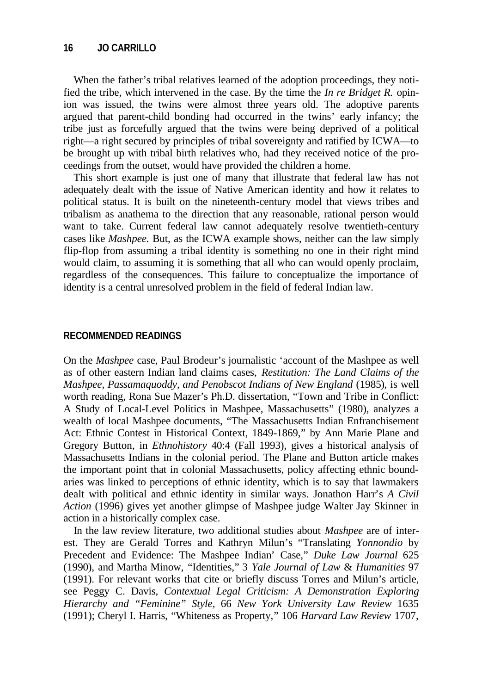When the father's tribal relatives learned of the adoption proceedings, they notified the tribe, which intervened in the case. By the time the *In re Bridget R.* opinion was issued, the twins were almost three years old. The adoptive parents argued that parent-child bonding had occurred in the twins' early infancy; the tribe just as forcefully argued that the twins were being deprived of a political right—a right secured by principles of tribal sovereignty and ratified by ICWA—to be brought up with tribal birth relatives who, had they received notice of the proceedings from the outset, would have provided the children a home.

This short example is just one of many that illustrate that federal law has not adequately dealt with the issue of Native American identity and how it relates to political status. It is built on the nineteenth-century model that views tribes and tribalism as anathema to the direction that any reasonable, rational person would want to take. Current federal law cannot adequately resolve twentieth-century cases like *Mashpee.* But, as the ICWA example shows, neither can the law simply flip-flop from assuming a tribal identity is something no one in their right mind would claim, to assuming it is something that all who can would openly proclaim, regardless of the consequences. This failure to conceptualize the importance of identity is a central unresolved problem in the field of federal Indian law.

## **RECOMMENDED READINGS**

On the *Mashpee* case, Paul Brodeur's journalistic 'account of the Mashpee as well as of other eastern Indian land claims cases, *Restitution: The Land Claims of the Mashpee, Passamaquoddy, and Penobscot Indians of New England* (1985), is well worth reading, Rona Sue Mazer's Ph.D. dissertation, "Town and Tribe in Conflict: A Study of Local-Level Politics in Mashpee, Massachusetts" (1980), analyzes a wealth of local Mashpee documents, "The Massachusetts Indian Enfranchisement Act: Ethnic Contest in Historical Context, 1849-1869," by Ann Marie Plane and Gregory Button, in *Ethnohistory* 40:4 (Fall 1993), gives a historical analysis of Massachusetts Indians in the colonial period. The Plane and Button article makes the important point that in colonial Massachusetts, policy affecting ethnic boundaries was linked to perceptions of ethnic identity, which is to say that lawmakers dealt with political and ethnic identity in similar ways. Jonathon Harr's *A Civil Action* (1996) gives yet another glimpse of Mashpee judge Walter Jay Skinner in action in a historically complex case.

In the law review literature, two additional studies about *Mashpee* are of interest. They are Gerald Torres and Kathryn Milun's "Translating *Yonnondio* by Precedent and Evidence: The Mashpee Indian' Case," *Duke Law Journal* 625 (1990), and Martha Minow, "Identities," 3 *Yale Journal of Law* & *Humanities* 97 (1991). For relevant works that cite or briefly discuss Torres and Milun's article, see Peggy C. Davis, *Contextual Legal Criticism: A Demonstration Exploring Hierarchy and "Feminine" Style,* 66 *New York University Law Review* 1635 (1991); Cheryl I. Harris, "Whiteness as Property," 106 *Harvard Law Review* 1707,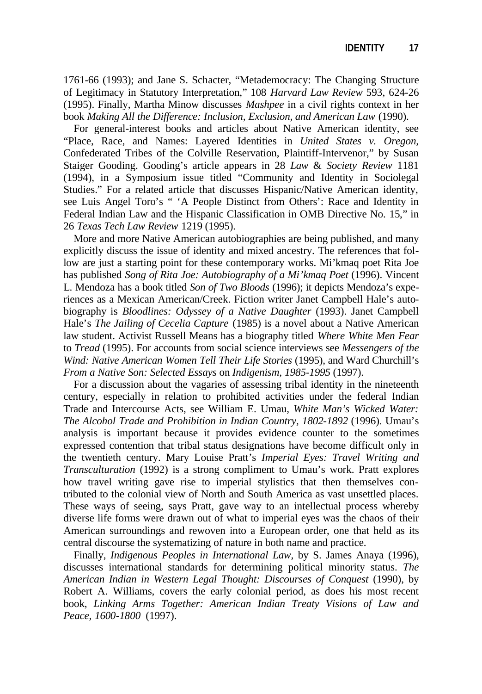1761-66 (1993); and Jane S. Schacter, "Metademocracy: The Changing Structure of Legitimacy in Statutory Interpretation," 108 *Harvard Law Review* 593, 624-26 (1995). Finally, Martha Minow discusses *Mashpee* in a civil rights context in her book *Making All the Difference: Inclusion, Exclusion, and American Law* (1990).

For general-interest books and articles about Native American identity, see "Place, Race, and Names: Layered Identities in *United States v. Oregon,* Confederated Tribes of the Colville Reservation, Plaintiff-Intervenor," by Susan Staiger Gooding. Gooding's article appears in 28 *Law* & *Society Review* 1181 (1994), in a Symposium issue titled "Community and Identity in Sociolegal Studies." For a related article that discusses Hispanic/Native American identity, see Luis Angel Toro's " 'A People Distinct from Others': Race and Identity in Federal Indian Law and the Hispanic Classification in OMB Directive No. 15," in 26 *Texas Tech Law Review* 1219 (1995).

More and more Native American autobiographies are being published, and many explicitly discuss the issue of identity and mixed ancestry. The references that follow are just a starting point for these contemporary works. Mi'kmaq poet Rita Joe has published *Song of Rita Joe: Autobiography of a Mi'kmaq Poet* (1996). Vincent L. Mendoza has a book titled *Son of Two Bloods* (1996); it depicts Mendoza's experiences as a Mexican American/Creek. Fiction writer Janet Campbell Hale's autobiography is *Bloodlines: Odyssey of a Native Daughter* (1993). Janet Campbell Hale's *The Jailing of Cecelia Capture* (1985) is a novel about a Native American law student. Activist Russell Means has a biography titled *Where White Men Fear* to *Tread* (1995). For accounts from social science interviews see *Messengers of the Wind: Native American Women Tell Their Life Stories* (1995), and Ward Churchill's *From a Native Son: Selected Essays* on *Indigenism, 1985-1995* (1997).

For a discussion about the vagaries of assessing tribal identity in the nineteenth century, especially in relation to prohibited activities under the federal Indian Trade and Intercourse Acts, see William E. Umau, *White Man's Wicked Water: The Alcohol Trade and Prohibition in Indian Country, 1802-1892* (1996). Umau's analysis is important because it provides evidence counter to the sometimes expressed contention that tribal status designations have become difficult only in the twentieth century. Mary Louise Pratt's *Imperial Eyes: Travel Writing and Transculturation* (1992) is a strong compliment to Umau's work. Pratt explores how travel writing gave rise to imperial stylistics that then themselves contributed to the colonial view of North and South America as vast unsettled places. These ways of seeing, says Pratt, gave way to an intellectual process whereby diverse life forms were drawn out of what to imperial eyes was the chaos of their American surroundings and rewoven into a European order, one that held as its central discourse the systematizing of nature in both name and practice.

Finally, *Indigenous Peoples in International Law,* by S. James Anaya (1996), discusses international standards for determining political minority status. *The American Indian in Western Legal Thought: Discourses of Conquest* (1990), by Robert A. Williams, covers the early colonial period, as does his most recent book, *Linking Arms Together: American Indian Treaty Visions of Law and Peace, 1600-1800* (1997).